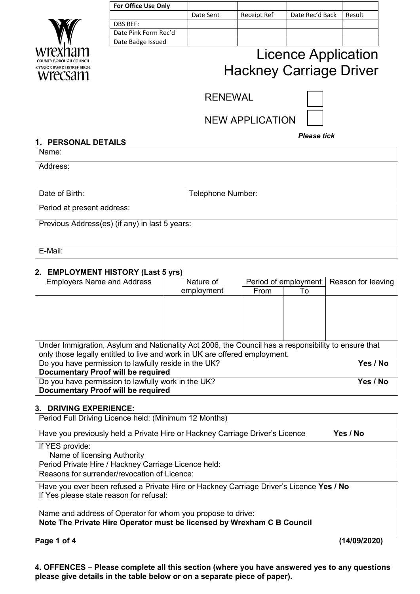

| <b>For Office Use Only</b> |           |                    |                 |        |
|----------------------------|-----------|--------------------|-----------------|--------|
|                            | Date Sent | <b>Receipt Ref</b> | Date Rec'd Back | Result |
| DBS REF:                   |           |                    |                 |        |
| Date Pink Form Rec'd       |           |                    |                 |        |
| Date Badge Issued          |           |                    |                 |        |
|                            |           |                    |                 |        |

# Licence Application Hackney Carriage Driver

RENEWAL



NEW APPLICATION

### *Please tick*

# **1. PERSONAL DETAILS** Name: Address: Date of Birth: <br> Telephone Number: Period at present address: Previous Address(es) (if any) in last 5 years: E-Mail:

### **2. EMPLOYMENT HISTORY (Last 5 yrs)**

| <b>Employers Name and Address</b>                                                                   | Nature of  | Period of employment |    | Reason for leaving |  |
|-----------------------------------------------------------------------------------------------------|------------|----------------------|----|--------------------|--|
|                                                                                                     | employment | From                 | To |                    |  |
|                                                                                                     |            |                      |    |                    |  |
|                                                                                                     |            |                      |    |                    |  |
|                                                                                                     |            |                      |    |                    |  |
|                                                                                                     |            |                      |    |                    |  |
|                                                                                                     |            |                      |    |                    |  |
| Under Immigration, Asylum and Nationality Act 2006, the Council has a responsibility to ensure that |            |                      |    |                    |  |
| only those legally entitled to live and work in UK are offered employment.                          |            |                      |    |                    |  |
| Do you have permission to lawfully reside in the UK?                                                | Yes / No   |                      |    |                    |  |
| Documentary Proof will be required                                                                  |            |                      |    |                    |  |
| Do you have permission to lawfully work in the UK?                                                  | Yes / No   |                      |    |                    |  |
| Documentary Proof will be required                                                                  |            |                      |    |                    |  |

### **3. DRIVING EXPERIENCE:**

| Period Full Driving Licence held: (Minimum 12 Months)                                    |
|------------------------------------------------------------------------------------------|
| Have you previously held a Private Hire or Hackney Carriage Driver's Licence<br>Yes / No |
| If YES provide:                                                                          |
| Name of licensing Authority                                                              |
| Period Private Hire / Hackney Carriage Licence held:                                     |
| Reasons for surrender/revocation of Licence:                                             |
| Have you ever been refused a Private Hire or Hackney Carriage Driver's Licence Yes / No  |
| If Yes please state reason for refusal:                                                  |
| Name and address of Operator for whom you propose to drive:                              |
| Note The Private Hire Operator must be licensed by Wrexham C B Council                   |

**Page 1 of 4 (14/09/2020)** 

**4. OFFENCES – Please complete all this section (where you have answered yes to any questions please give details in the table below or on a separate piece of paper).**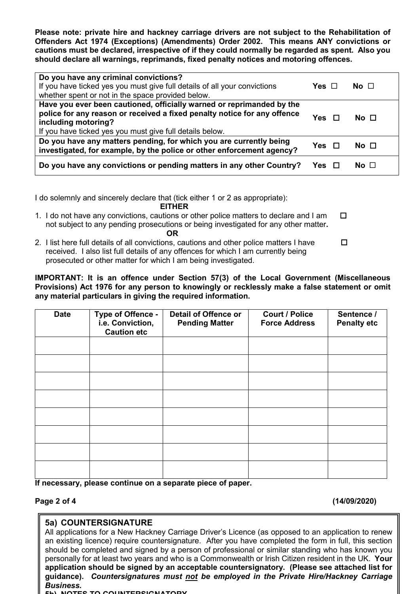**Please note: private hire and hackney carriage drivers are not subject to the Rehabilitation of Offenders Act 1974 (Exceptions) (Amendments) Order 2002. This means ANY convictions or cautions must be declared, irrespective of if they could normally be regarded as spent. Also you should declare all warnings, reprimands, fixed penalty notices and motoring offences.**

| Do you have any criminal convictions?<br>If you have ticked yes you must give full details of all your convictions<br>whether spent or not in the space provided below.                                                              | Yes $\Box$    | No $\Box$       |
|--------------------------------------------------------------------------------------------------------------------------------------------------------------------------------------------------------------------------------------|---------------|-----------------|
| Have you ever been cautioned, officially warned or reprimanded by the<br>police for any reason or received a fixed penalty notice for any offence<br>including motoring?<br>If you have ticked yes you must give full details below. | <b>Yes</b>    | No <sub>1</sub> |
| Do you have any matters pending, for which you are currently being<br>investigated, for example, by the police or other enforcement agency?                                                                                          | Yes $\square$ | No $\Box$       |
| Do you have any convictions or pending matters in any other Country?                                                                                                                                                                 |               | No $\Box$       |

I do solemnly and sincerely declare that (tick either 1 or 2 as appropriate):

#### **EITHER**

- 1. I do not have any convictions, cautions or other police matters to declare and I am  $\Box$  not subject to any pending prosecutions or being investigated for any other matter**.**   *OR* OR
- 2. I list here full details of all convictions, cautions and other police matters I have  $\Box$  received. I also list full details of any offences for which I am currently being prosecuted or other matter for which I am being investigated.

**IMPORTANT: It is an offence under Section 57(3) of the Local Government (Miscellaneous Provisions) Act 1976 for any person to knowingly or recklessly make a false statement or omit any material particulars in giving the required information.**

| <b>Date</b> | Type of Offence -<br>i.e. Conviction,<br><b>Caution etc</b> | <b>Detail of Offence or</b><br><b>Pending Matter</b> | <b>Court / Police</b><br><b>Force Address</b> | Sentence /<br><b>Penalty etc</b> |
|-------------|-------------------------------------------------------------|------------------------------------------------------|-----------------------------------------------|----------------------------------|
|             |                                                             |                                                      |                                               |                                  |
|             |                                                             |                                                      |                                               |                                  |
|             |                                                             |                                                      |                                               |                                  |
|             |                                                             |                                                      |                                               |                                  |
|             |                                                             |                                                      |                                               |                                  |
|             |                                                             |                                                      |                                               |                                  |
|             |                                                             |                                                      |                                               |                                  |
|             |                                                             |                                                      |                                               |                                  |

**If necessary, please continue on a separate piece of paper.**

**Page 2 of 4 (14/09/2020)**

## **5a) COUNTERSIGNATURE**

All applications for a New Hackney Carriage Driver's Licence (as opposed to an application to renew an existing licence) require countersignature. After you have completed the form in full, this section should be completed and signed by a person of professional or similar standing who has known you personally for at least two years and who is a Commonwealth or Irish Citizen resident in the UK. **Your application should be signed by an acceptable countersignatory. (Please see attached list for guidance).** *Countersignatures must not be employed in the Private Hire/Hackney Carriage Business.*

**5b) NOTES TO COUNTERSIGNATORY**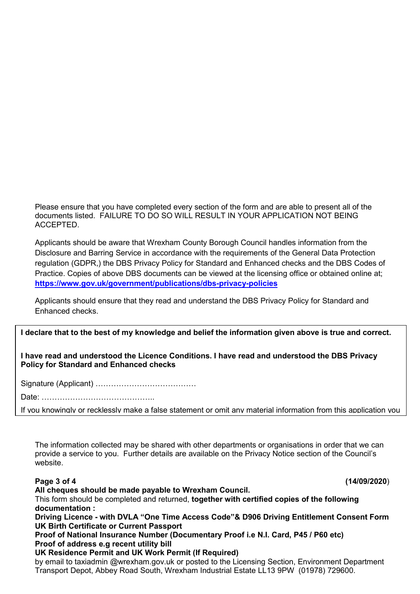Please ensure that you have completed every section of the form and are able to present all of the documents listed. FAILURE TO DO SO WILL RESULT IN YOUR APPLICATION NOT BEING ACCEPTED.

Applicants should be aware that Wrexham County Borough Council handles information from the Disclosure and Barring Service in accordance with the requirements of the General Data Protection regulation (GDPR,) the DBS Privacy Policy for Standard and Enhanced checks and the DBS Codes of Practice. Copies of above DBS documents can be viewed at the licensing office or obtained online at; **<https://www.gov.uk/government/publications/dbs-privacy-policies>**

Applicants should ensure that they read and understand the DBS Privacy Policy for Standard and Enhanced checks.

### **I declare that to the best of my knowledge and belief the information given above is true and correct.**

#### **I have read and understood the Licence Conditions. I have read and understood the DBS Privacy Policy for Standard and Enhanced checks**

Signature (Applicant) …………………………………

Date: ……………………………………..

If you knowingly or recklessly make a false statement or omit any material information from this application you

The information collected may be shared with other departments or organisations in order that we can provide a service to you. Further details are available on the Privacy Notice section of the Council's website.

I

**Page 3 of 4 (14/09/2020**)

**All cheques should be made payable to Wrexham Council.** 

This form should be completed and returned, **together with certified copies of the following documentation :** 

**Driving Licence - with DVLA "One Time Access Code"& D906 Driving Entitlement Consent Form UK Birth Certificate or Current Passport**

**Proof of National Insurance Number (Documentary Proof i.e N.I. Card, P45 / P60 etc) Proof of address e.g recent utility bill**

**UK Residence Permit and UK Work Permit (If Required)**

by email to taxiadmin @wrexham.gov.uk or posted to the Licensing Section, Environment Department Transport Depot, Abbey Road South, Wrexham Industrial Estate LL13 9PW (01978) 729600.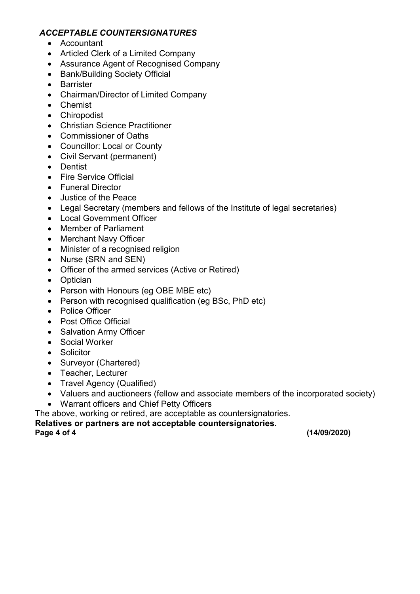## *ACCEPTABLE COUNTERSIGNATURES*

- Accountant
- Articled Clerk of a Limited Company
- Assurance Agent of Recognised Company
- Bank/Building Society Official
- Barrister
- Chairman/Director of Limited Company
- Chemist
- Chiropodist
- Christian Science Practitioner
- Commissioner of Oaths
- Councillor: Local or County
- Civil Servant (permanent)
- Dentist
- Fire Service Official
- Funeral Director
- Justice of the Peace
- Legal Secretary (members and fellows of the Institute of legal secretaries)
- Local Government Officer
- Member of Parliament
- Merchant Navy Officer
- Minister of a recognised religion
- Nurse (SRN and SEN)
- Officer of the armed services (Active or Retired)
- Optician
- Person with Honours (eg OBE MBE etc)
- Person with recognised qualification (eg BSc, PhD etc)
- Police Officer
- Post Office Official
- Salvation Army Officer
- Social Worker
- Solicitor
- Surveyor (Chartered)
- Teacher, Lecturer
- Travel Agency (Qualified)
- Valuers and auctioneers (fellow and associate members of the incorporated society)
- Warrant officers and Chief Petty Officers

The above, working or retired, are acceptable as countersignatories.

**Relatives or partners are not acceptable countersignatories.**

**Page 4 of 4 (14/09/2020)**